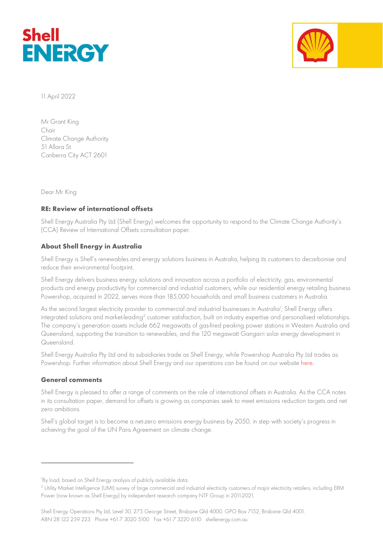



11 April 2022

Mr Grant King Chair Climate Change Authority 51 Allara St Canberra City ACT 2601

Dear Mr King

## RE: Review of international offsets

Shell Energy Australia Pty Ltd (Shell Energy) welcomes the opportunity to respond to the Climate Change Authority's (CCA) Review of International Offsets consultation paper.

## About Shell Energy in Australia

Shell Energy is Shell's renewables and energy solutions business in Australia, helping its customers to decarbonise and reduce their environmental footprint.

Shell Energy delivers business energy solutions and innovation across a portfolio of electricity, gas, environmental products and energy productivity for commercial and industrial customers, while our residential energy retailing business Powershop, acquired in 2022, serves more than 185,000 households and small business customers in Australia.

As the second largest electricity provider to commercial and industrial businesses in Australia<sup>1</sup>, Shell Energy offers integrated solutions and market-leading $^2$  customer satisfaction, built on industry expertise and personalised relationships. The company's generation assets include 662 megawatts of gas-fired peaking power stations in Western Australia and Queensland, supporting the transition to renewables, and the 120 megawatt Gangarri solar energy development in Queensland.

Shell Energy Australia Pty Ltd and its subsidiaries trade as Shell Energy, while Powershop Australia Pty Ltd trades as Powershop. Further information about Shell Energy and our operations can be found on our website here.

## General comments

Shell Energy is pleased to offer a range of comments on the role of international offsets in Australia. As the CCA notes in its consultation paper, demand for offsets is growing as companies seek to meet emissions reduction targets and net zero ambitions.

Shell's global target is to become a net-zero emissions energy business by 2050, in step with society's progress in achieving the goal of the UN Paris Agreement on climate change.

<sup>&</sup>lt;sup>1</sup>By load, based on Shell Energy analysis of publicly available data.

<sup>2</sup> Utility Market Intelligence (UMI) survey of large commercial and industrial electricity customers of major electricity retailers, including ERM Power (now known as Shell Energy) by independent research company NTF Group in 2011-2021.